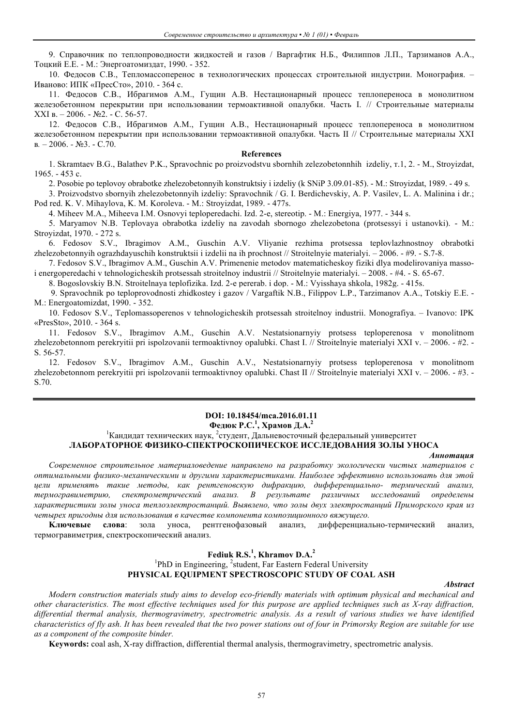9. Справочник по теплопроводности жидкостей и газов / Варгафтик Н.Б., Филиппов Л.П., Тарзиманов А.А., Тоцкий Е.Е. - М.: Энергоатомиздат, 1990. - 352.

10. Федосов С.В., Тепломассоперенос в технологических процессах строительной индустрии. Монография. – Иваново: ИПК «ПресСто», 2010. - 364 с.

11. Федосов С.В., Ибрагимов А.М., Гущин А.В. Нестационарный процесс теплопереноса в монолитном железобетонном перекрытии при использовании термоактивной опалубки. Часть I. // Строительные материалы XXI в. – 2006. - №2. - С. 56-57.

12. Федосов С.В., Ибрагимов А.М., Гущин А.В., Нестационарный процесс теплопереноса в монолитном железобетонном перекрытии при использовании термоактивной опалубки. Часть II // Строительные материалы XXI в*. –* 2006. *-* №3. - С.70.

#### **References**

1. Skramtaev B.G., Balathev P.K., Spravochnic po proizvodstvu sbornhih zelezobetonnhih izdeliy, т.1, 2. - М., Stroyizdat, 1965. - 453 с.

2. Posobie po teplovoy obrabotke zhelezobetonnyih konstruktsiy i izdeliy (k SNiP 3.09.01-85). - M.: Stroyizdat, 1989. - 49 s.

3. Proizvodstvo sbornyih zhelezobetonnyih izdeliy: Spravochnik / G. I. Berdichevskiy, A. P. Vasilev, L. A. Malinina i dr.; Pod red. K. V. Mihaylova, K. M. Koroleva. - M.: Stroyizdat, 1989. - 477s.

4. Miheev M.A., Miheeva I.M. Osnovyi teploperedachi. Izd. 2-e, stereotip. - M.: Energiya, 1977. - 344 s.

5. Maryamov N.B. Teplovaya obrabotka izdeliy na zavodah sbornogo zhelezobetona (protsessyi i ustanovki). - M.: Stroyizdat, 1970. - 272 s.

6. Fedosov S.V., Ibragimov A.M., Guschin A.V. Vliyanie rezhima protsessa teplovlazhnostnoy obrabotki zhelezobetonnyih ograzhdayuschih konstruktsii i izdelii na ih prochnost // Stroitelnyie materialyi. – 2006. - #9. - S.7-8.

7. Fedosov S.V., Ibragimov A.M., Guschin A.V. Primenenie metodov matematicheskoy fiziki dlya modelirovaniya massoi energoperedachi v tehnologicheskih protsessah stroitelnoy industrii // Stroitelnyie materialyi. – 2008. - #4. - S. 65-67.

8. Bogoslovskiy B.N. Stroitelnaya teplofizika. Izd. 2-e pererab. i dop. - M.: Vyisshaya shkola, 1982g. - 415s.

9. Spravochnik po teploprovodnosti zhidkostey i gazov / Vargaftik N.B., Filippov L.P., Tarzimanov A.A., Totskiy E.E. - M.: Energoatomizdat, 1990. - 352.

10. Fedosov S.V., Teplomassoperenos v tehnologicheskih protsessah stroitelnoy industrii. Monografiya. – Ivanovo: IPK «PresSto», 2010. - 364 s.

11. Fedosov S.V., Ibragimov A.M., Guschin A.V. Nestatsionarnyiy protsess teploperenosa v monolitnom zhelezobetonnom perekryitii pri ispolzovanii termoaktivnoy opalubki. Chast I. // Stroitelnyie materialyi XXI v. – 2006. - #2. - S. 56-57.

12. Fedosov S.V., Ibragimov A.M., Guschin A.V., Nestatsionarnyiy protsess teploperenosa v monolitnom zhelezobetonnom perekryitii pri ispolzovanii termoaktivnoy opalubki. Chast II // Stroitelnyie materialyi XXI v. – 2006. - #3. - S.70.

# **DOI: 10.18454/mca.2016.01.11**

# **Федюк Р.С. 1 , Храмов Д.А. 2**

# <sup>1</sup> Кандидат технических наук, <sup>2</sup>студент, Дальневосточный федеральный университет **ЛАБОРАТОРНОЕ ФИЗИКО-СПЕКТРОСКОПИЧЕСКОЕ ИССЛЕДОВАНИЯ ЗОЛЫ УНОСА**

#### *Аннотация*

*Современное строительное материаловедение направлено на разработку экологически чистых материалов с оптимальными физико-механическими и другими характеристиками. Наиболее эффективно использовать для этой цели применять такие методы, как рентгеновскую дифракцию, дифференциально- термический анализ, термогравиметрию, спектрометрический анализ. В результате различных исследований определены характеристики золы уноса теплоэлектростанций. Выявлено, что золы двух электростанций Приморского края из четырех пригодны для использования в качестве компонента композиционного вяжущего.*

**Kлючевые слова**: зола уноса, рентгенофазовый анализ, дифференциально-термический анализ, термогравиметрия, спектроскопический анализ.

# **Fediuk R.S.<sup>1</sup> , Khramov D.A.<sup>2</sup>**

<sup>1</sup>PhD in Engineering, <sup>2</sup>student, Far Eastern Federal University **PHYSICAL EQUIPMENT SPECTROSCOPIC STUDY OF COAL ASH**

*Abstract*

*Modern construction materials study aims to develop eco-friendly materials with optimum physical and mechanical and other characteristics. The most effective techniques used for this purpose are applied techniques such as X-ray diffraction, differential thermal analysis, thermogravimetry, spectrometric analysis. As a result of various studies we have identified characteristics of fly ash. It has been revealed that the two power stations out of four in Primorsky Region are suitable for use as a component of the composite binder.*

**Keywords:** coal ash, X-ray diffraction, differential thermal analysis, thermogravimetry, spectrometric analysis.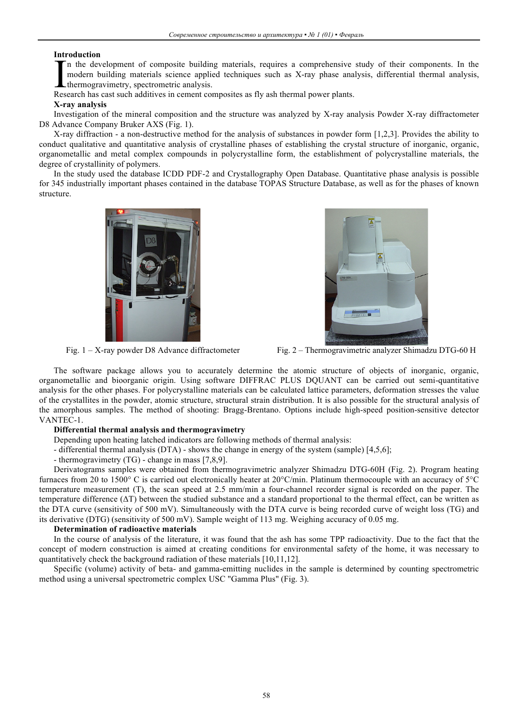### **Introduction**

n the development of composite building materials, requires a comprehensive study of their components. In the modern building materials science applied techniques such as X-ray phase analysis, differential thermal analysis, thermogravimetry, spectrometric analysis. In the development of composite building materials, requires a comprehensive<br>modern building materials science applied techniques such as X-ray phase ana<br>thermogravimetry, spectrometric analysis.<br>Research has cast such add

## **X-ray analysis**

Investigation of the mineral composition and the structure was analyzed by X-ray analysis Powder X-ray diffractometer D8 Advance Company Bruker AXS (Fig. 1).

X-ray diffraction - a non-destructive method for the analysis of substances in powder form [1,2,3]. Provides the ability to conduct qualitative and quantitative analysis of crystalline phases of establishing the crystal structure of inorganic, organic, organometallic and metal complex compounds in polycrystalline form, the establishment of polycrystalline materials, the degree of crystallinity of polymers.

In the study used the database ICDD PDF-2 and Crystallography Open Database. Quantitative phase analysis is possible for 345 industrially important phases contained in the database TOPAS Structure Database, as well as for the phases of known structure.





Fig. 1 – X-ray powder D8 Advance diffractometer Fig. 2 – Thermogravimetric analyzer Shimadzu DTG-60 H

The software package allows you to accurately determine the atomic structure of objects of inorganic, organic, organometallic and bioorganic origin. Using software DIFFRAC PLUS DQUANT can be carried out semi-quantitative analysis for the other phases. For polycrystalline materials can be calculated lattice parameters, deformation stresses the value of the crystallites in the powder, atomic structure, structural strain distribution. It is also possible for the structural analysis of the amorphous samples. The method of shooting: Bragg-Brentano. Options include high-speed position-sensitive detector VANTEC-1.

# **Differential thermal analysis and thermogravimetry**

Depending upon heating latched indicators are following methods of thermal analysis:

- differential thermal analysis (DTA) - shows the change in energy of the system (sample) [4,5,6];

- thermogravimetry (TG) - change in mass [7,8,9].

Derivatograms samples were obtained from thermogravimetric analyzer Shimadzu DTG-60H (Fig. 2). Program heating furnaces from 20 to 1500° C is carried out electronically heater at 20°C/min. Platinum thermocouple with an accuracy of 5°C temperature measurement (T), the scan speed at 2.5 mm/min a four-channel recorder signal is recorded on the paper. The temperature difference (ΔT) between the studied substance and a standard proportional to the thermal effect, can be written as the DTA curve (sensitivity of 500 mV). Simultaneously with the DTA curve is being recorded curve of weight loss (TG) and its derivative (DTG) (sensitivity of 500 mV). Sample weight of 113 mg. Weighing accuracy of 0.05 mg.

## **Determination of radioactive materials**

In the course of analysis of the literature, it was found that the ash has some TPP radioactivity. Due to the fact that the concept of modern construction is aimed at creating conditions for environmental safety of the home, it was necessary to quantitatively check the background radiation of these materials [10,11,12].

Specific (volume) activity of beta- and gamma-emitting nuclides in the sample is determined by counting spectrometric method using a universal spectrometric complex USС "Gamma Plus" (Fig. 3).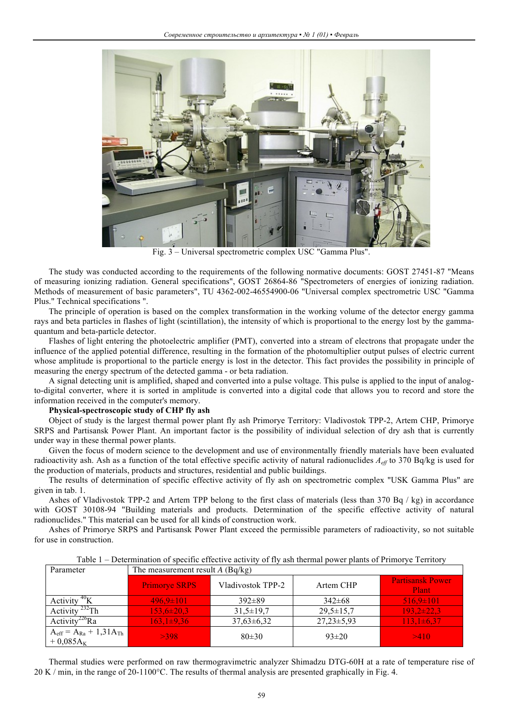

Fig. 3 – Universal spectrometric complex USС "Gamma Plus".

The study was conducted according to the requirements of the following normative documents: GOST 27451-87 "Means of measuring ionizing radiation. General specifications", GOST 26864-86 "Spectrometers of energies of ionizing radiation. Methods of measurement of basic parameters", TU 4362-002-46554900-06 "Universal complex spectrometric USC "Gamma Plus." Technical specifications ".

The principle of operation is based on the complex transformation in the working volume of the detector energy gamma rays and beta particles in flashes of light (scintillation), the intensity of which is proportional to the energy lost by the gammaquantum and beta-particle detector.

Flashes of light entering the photoelectric amplifier (PMT), converted into a stream of electrons that propagate under the influence of the applied potential difference, resulting in the formation of the photomultiplier output pulses of electric current whose amplitude is proportional to the particle energy is lost in the detector. This fact provides the possibility in principle of measuring the energy spectrum of the detected gamma - or beta radiation.

A signal detecting unit is amplified, shaped and converted into a pulse voltage. This pulse is applied to the input of analogto-digital converter, where it is sorted in amplitude is converted into a digital code that allows you to record and store the information received in the computer's memory.

### **Physical-spectroscopic study of CHP fly ash**

Object of study is the largest thermal power plant fly ash Primorye Territory: Vladivostok TPP-2, Artem CHP, Primorye SRPS and Partisansk Power Plant. An important factor is the possibility of individual selection of dry ash that is currently under way in these thermal power plants.

Given the focus of modern science to the development and use of environmentally friendly materials have been evaluated radioactivity ash. Ash as a function of the total effective specific activity of natural radionuclides *Aeff* to 370 Bq/kg is used for the production of materials, products and structures, residential and public buildings.

The results of determination of specific effective activity of fly ash on spectrometric complex "USK Gamma Plus" are given in tab. 1.

Ashes of Vladivostok TPP-2 and Artem TPP belong to the first class of materials (less than 370 Bq / kg) in accordance with GOST 30108-94 "Building materials and products. Determination of the specific effective activity of natural radionuclides." This material can be used for all kinds of construction work.

Ashes of Primorye SRPS and Partisansk Power Plant exceed the permissible parameters of radioactivity, so not suitable for use in construction.

| Parameter                                                              | The measurement result $A$ (Bq/kg) |                   |                 |                                  |
|------------------------------------------------------------------------|------------------------------------|-------------------|-----------------|----------------------------------|
|                                                                        | <b>Primorye SRPS</b>               | Vladivostok TPP-2 | Artem CHP       | <b>Partisansk Power</b><br>Plant |
| $^{40}$ K<br>Activity                                                  | $496.9 \pm 101$                    | $392\pm89$        | $342\pm68$      | $516,9 \pm 101$                  |
| Activity $^{232}$ Th                                                   | $153.6 \pm 20.3$                   | $31,5 \pm 19,7$   | $29,5 \pm 15,7$ | $193,2\pm 22,3$                  |
| Activity <sup>226</sup> Ra                                             | $163,1\pm9,36$                     | $37,63\pm 6,32$   | $27,23\pm5,93$  | $113,1\pm 6,37$                  |
| $A_{\text{eff}} = A_{\text{Ra}} + 1.31 A_{\text{Th}}$<br>$+0.085A_{K}$ | >398                               | 80±30             | $93 \pm 20$     | >410                             |

Table 1 – Determination of specific effective activity of fly ash thermal power plants of Primorye Territory

Thermal studies were performed on raw thermogravimetric analyzer Shimadzu DTG-60H at a rate of temperature rise of  $20 \text{ K } / \text{min}$ , in the range of 20-1100 $^{\circ}$ C. The results of thermal analysis are presented graphically in Fig. 4.